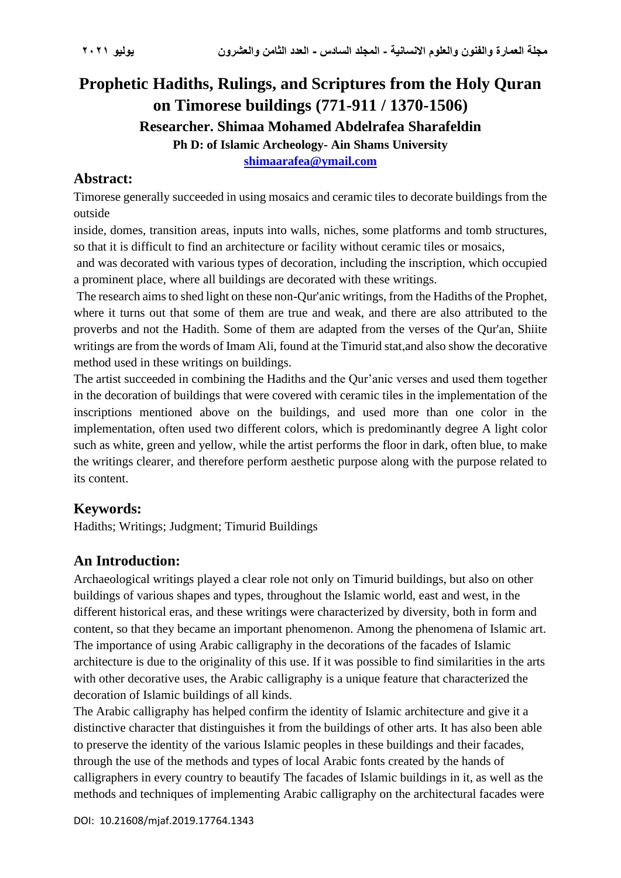# **Prophetic Hadiths, Rulings, and Scriptures from the Holy Quran on Timorese buildings (771-911 / 1370-1506) Researcher. Shimaa Mohamed Abdelrafea Sharafeldin Ph D: of Islamic Archeology- Ain Shams University [shimaarafea@ymail.com](mailto:shimaarafea@ymail.com)**

## **Abstract:**

Timorese generally succeeded in using mosaics and ceramic tiles to decorate buildings from the outside

inside, domes, transition areas, inputs into walls, niches, some platforms and tomb structures, so that it is difficult to find an architecture or facility without ceramic tiles or mosaics,

and was decorated with various types of decoration, including the inscription, which occupied a prominent place, where all buildings are decorated with these writings.

The research aims to shed light on these non-Qur'anic writings, from the Hadiths of the Prophet, where it turns out that some of them are true and weak, and there are also attributed to the proverbs and not the Hadith. Some of them are adapted from the verses of the Qur'an, Shiite writings are from the words of Imam Ali, found at the Timurid stat,and also show the decorative method used in these writings on buildings.

The artist succeeded in combining the Hadiths and the Qur'anic verses and used them together in the decoration of buildings that were covered with ceramic tiles in the implementation of the inscriptions mentioned above on the buildings, and used more than one color in the implementation, often used two different colors, which is predominantly degree A light color such as white, green and yellow, while the artist performs the floor in dark, often blue, to make the writings clearer, and therefore perform aesthetic purpose along with the purpose related to its content.

## **Keywords:**

Hadiths; Writings; Judgment; Timurid Buildings

## **An Introduction:**

Archaeological writings played a clear role not only on Timurid buildings, but also on other buildings of various shapes and types, throughout the Islamic world, east and west, in the different historical eras, and these writings were characterized by diversity, both in form and content, so that they became an important phenomenon. Among the phenomena of Islamic art. The importance of using Arabic calligraphy in the decorations of the facades of Islamic architecture is due to the originality of this use. If it was possible to find similarities in the arts with other decorative uses, the Arabic calligraphy is a unique feature that characterized the decoration of Islamic buildings of all kinds.

The Arabic calligraphy has helped confirm the identity of Islamic architecture and give it a distinctive character that distinguishes it from the buildings of other arts. It has also been able to preserve the identity of the various Islamic peoples in these buildings and their facades, through the use of the methods and types of local Arabic fonts created by the hands of calligraphers in every country to beautify The facades of Islamic buildings in it, as well as the methods and techniques of implementing Arabic calligraphy on the architectural facades were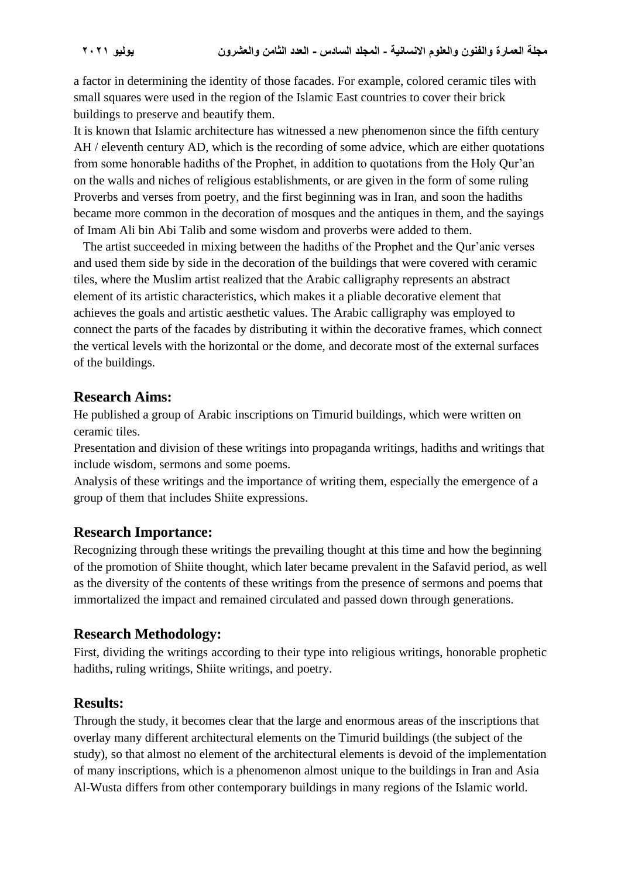a factor in determining the identity of those facades. For example, colored ceramic tiles with small squares were used in the region of the Islamic East countries to cover their brick buildings to preserve and beautify them.

It is known that Islamic architecture has witnessed a new phenomenon since the fifth century AH / eleventh century AD, which is the recording of some advice, which are either quotations from some honorable hadiths of the Prophet, in addition to quotations from the Holy Qur'an on the walls and niches of religious establishments, or are given in the form of some ruling Proverbs and verses from poetry, and the first beginning was in Iran, and soon the hadiths became more common in the decoration of mosques and the antiques in them, and the sayings of Imam Ali bin Abi Talib and some wisdom and proverbs were added to them.

 The artist succeeded in mixing between the hadiths of the Prophet and the Qur'anic verses and used them side by side in the decoration of the buildings that were covered with ceramic tiles, where the Muslim artist realized that the Arabic calligraphy represents an abstract element of its artistic characteristics, which makes it a pliable decorative element that achieves the goals and artistic aesthetic values. The Arabic calligraphy was employed to connect the parts of the facades by distributing it within the decorative frames, which connect the vertical levels with the horizontal or the dome, and decorate most of the external surfaces of the buildings.

### **Research Aims:**

He published a group of Arabic inscriptions on Timurid buildings, which were written on ceramic tiles.

Presentation and division of these writings into propaganda writings, hadiths and writings that include wisdom, sermons and some poems.

Analysis of these writings and the importance of writing them, especially the emergence of a group of them that includes Shiite expressions.

#### **Research Importance:**

Recognizing through these writings the prevailing thought at this time and how the beginning of the promotion of Shiite thought, which later became prevalent in the Safavid period, as well as the diversity of the contents of these writings from the presence of sermons and poems that immortalized the impact and remained circulated and passed down through generations.

## **Research Methodology:**

First, dividing the writings according to their type into religious writings, honorable prophetic hadiths, ruling writings, Shiite writings, and poetry.

## **Results:**

Through the study, it becomes clear that the large and enormous areas of the inscriptions that overlay many different architectural elements on the Timurid buildings (the subject of the study), so that almost no element of the architectural elements is devoid of the implementation of many inscriptions, which is a phenomenon almost unique to the buildings in Iran and Asia Al-Wusta differs from other contemporary buildings in many regions of the Islamic world.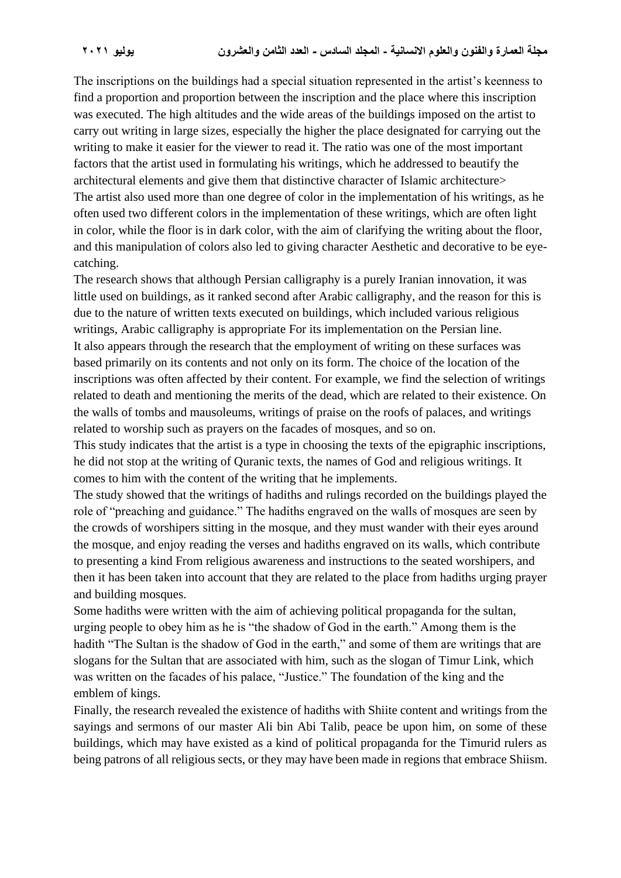The inscriptions on the buildings had a special situation represented in the artist's keenness to find a proportion and proportion between the inscription and the place where this inscription was executed. The high altitudes and the wide areas of the buildings imposed on the artist to carry out writing in large sizes, especially the higher the place designated for carrying out the writing to make it easier for the viewer to read it. The ratio was one of the most important factors that the artist used in formulating his writings, which he addressed to beautify the architectural elements and give them that distinctive character of Islamic architecture> The artist also used more than one degree of color in the implementation of his writings, as he often used two different colors in the implementation of these writings, which are often light in color, while the floor is in dark color, with the aim of clarifying the writing about the floor, and this manipulation of colors also led to giving character Aesthetic and decorative to be eyecatching.

The research shows that although Persian calligraphy is a purely Iranian innovation, it was little used on buildings, as it ranked second after Arabic calligraphy, and the reason for this is due to the nature of written texts executed on buildings, which included various religious writings, Arabic calligraphy is appropriate For its implementation on the Persian line. It also appears through the research that the employment of writing on these surfaces was based primarily on its contents and not only on its form. The choice of the location of the inscriptions was often affected by their content. For example, we find the selection of writings related to death and mentioning the merits of the dead, which are related to their existence. On the walls of tombs and mausoleums, writings of praise on the roofs of palaces, and writings related to worship such as prayers on the facades of mosques, and so on.

This study indicates that the artist is a type in choosing the texts of the epigraphic inscriptions, he did not stop at the writing of Quranic texts, the names of God and religious writings. It comes to him with the content of the writing that he implements.

The study showed that the writings of hadiths and rulings recorded on the buildings played the role of "preaching and guidance." The hadiths engraved on the walls of mosques are seen by the crowds of worshipers sitting in the mosque, and they must wander with their eyes around the mosque, and enjoy reading the verses and hadiths engraved on its walls, which contribute to presenting a kind From religious awareness and instructions to the seated worshipers, and then it has been taken into account that they are related to the place from hadiths urging prayer and building mosques.

Some hadiths were written with the aim of achieving political propaganda for the sultan, urging people to obey him as he is "the shadow of God in the earth." Among them is the hadith "The Sultan is the shadow of God in the earth," and some of them are writings that are slogans for the Sultan that are associated with him, such as the slogan of Timur Link, which was written on the facades of his palace, "Justice." The foundation of the king and the emblem of kings.

Finally, the research revealed the existence of hadiths with Shiite content and writings from the sayings and sermons of our master Ali bin Abi Talib, peace be upon him, on some of these buildings, which may have existed as a kind of political propaganda for the Timurid rulers as being patrons of all religious sects, or they may have been made in regions that embrace Shiism.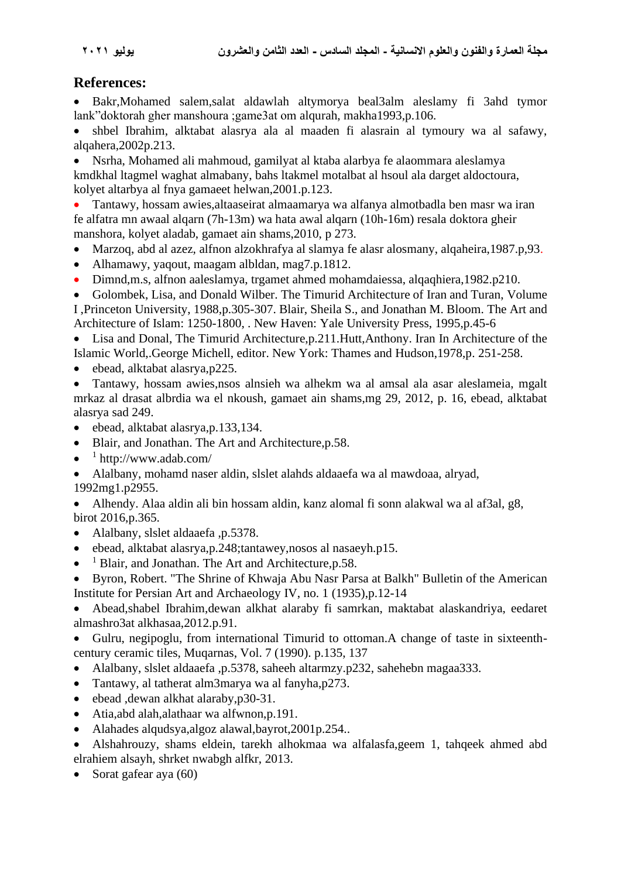### **References:**

• Bakr,Mohamed salem,salat aldawlah altymorya beal3alm aleslamy fi 3ahd tymor lank"doktorah gher manshoura ;game3at om alqurah, makha1993,p.106.

• shbel Ibrahim, alktabat alasrya ala al maaden fi alasrain al tymoury wa al safawy, alqahera,2002p.213.

• Nsrha, Mohamed ali mahmoud, gamilyat al ktaba alarbya fe alaommara aleslamya kmdkhal ltagmel waghat almabany, bahs ltakmel motalbat al hsoul ala darget aldoctoura, kolyet altarbya al fnya gamaeet helwan,2001.p.123.

• Tantawy, hossam awies,altaaseirat almaamarya wa alfanya almotbadla ben masr wa iran fe alfatra mn awaal alqarn (7h-13m) wa hata awal alqarn (10h-16m) resala doktora gheir manshora, kolyet aladab, gamaet ain shams,2010, p 273.

- Marzoq, abd al azez, alfnon alzokhrafya al slamya fe alasr alosmany, alqaheira,1987.p,93.
- Alhamawy, yaqout, maagam albldan, mag7.p.1812.
- Dimnd,m.s, alfnon aaleslamya, trgamet ahmed mohamdaiessa, alqaqhiera,1982.p210.

• Golombek, Lisa, and Donald Wilber. The Timurid Architecture of Iran and Turan, Volume I ,Princeton University, 1988,p.305-307. Blair, Sheila S., and Jonathan M. Bloom. The Art and Architecture of Islam: 1250-1800, . New Haven: Yale University Press, 1995,p.45-6

• Lisa and Donal, The Timurid Architecture,p.211.Hutt,Anthony. Iran In Architecture of the Islamic World,.George Michell, editor. New York: Thames and Hudson,1978,p. 251-258.

• ebead, alktabat alasrya, p225.

• Tantawy, hossam awies,nsos alnsieh wa alhekm wa al amsal ala asar aleslameia, mgalt mrkaz al drasat albrdia wa el nkoush, gamaet ain shams,mg 29, 2012, p. 16, ebead, alktabat alasrya sad 249.

- ebead, alktabat alasrya,p.133,134.
- Blair, and Jonathan. The Art and Architecture,p.58.
- $\bullet$  <sup>1</sup> http://www.adab.com/

• Alalbany, mohamd naser aldin, slslet alahds aldaaefa wa al mawdoaa, alryad,

1992mg1.p2955.

• Alhendy. Alaa aldin ali bin hossam aldin, kanz alomal fi sonn alakwal wa al af3al, g8, birot 2016,p.365.

- Alalbany, slslet aldaaefa, p.5378.
- ebead, alktabat alasrya,p.248;tantawey,nosos al nasaeyh.p15.
- $<sup>1</sup>$  Blair, and Jonathan. The Art and Architecture, p.58.</sup>

• Byron, Robert. "The Shrine of Khwaja Abu Nasr Parsa at Balkh" Bulletin of the American Institute for Persian Art and Archaeology IV, no. 1 (1935),p.12-14

• Abead,shabel Ibrahim,dewan alkhat alaraby fi samrkan, maktabat alaskandriya, eedaret almashro3at alkhasaa,2012.p.91.

• Gulru, negipoglu, from international Timurid to ottoman.A change of taste in sixteenthcentury ceramic tiles, Muqarnas, Vol. 7 (1990). p.135, 137

- Alalbany, slslet aldaaefa ,p.5378, saheeh altarmzy.p232, sahehebn magaa333.
- Tantawy, al tatherat alm3marya wa al fanyha, p273.
- ebead ,dewan alkhat alaraby,p30-31.
- Atia,abd alah,alathaar wa alfwnon,p.191.
- Alahades alqudsya,algoz alawal,bayrot,2001p.254..
- Alshahrouzy, shams eldein, tarekh alhokmaa wa alfalasfa,geem 1, tahqeek ahmed abd elrahiem alsayh, shrket nwabgh alfkr, 2013.
- Sorat gafear aya (60)